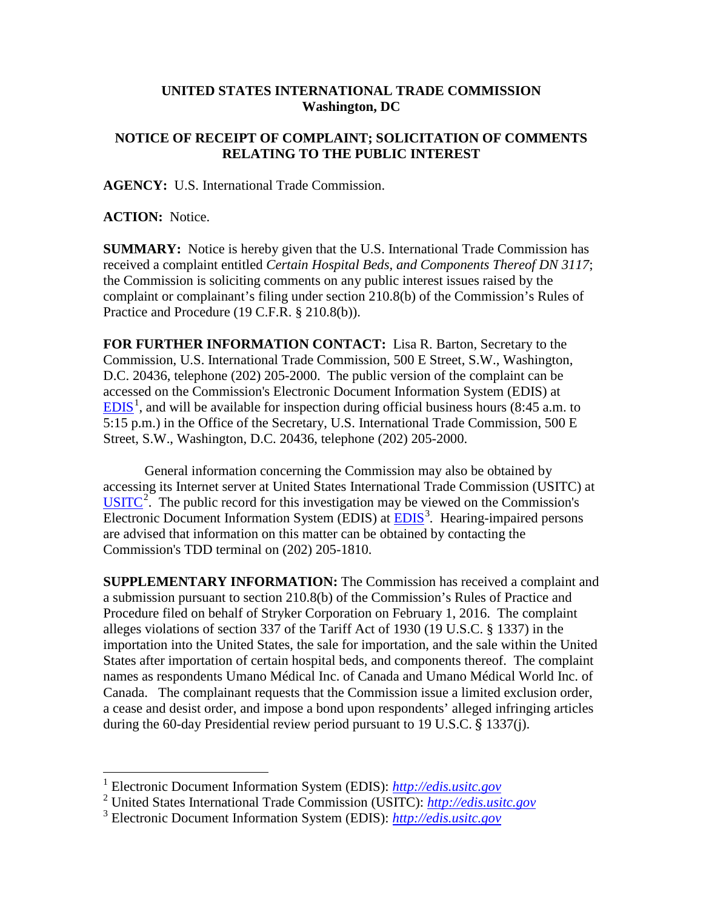## **UNITED STATES INTERNATIONAL TRADE COMMISSION Washington, DC**

## **NOTICE OF RECEIPT OF COMPLAINT; SOLICITATION OF COMMENTS RELATING TO THE PUBLIC INTEREST**

**AGENCY:** U.S. International Trade Commission.

**ACTION:** Notice.

**SUMMARY:** Notice is hereby given that the U.S. International Trade Commission has received a complaint entitled *Certain Hospital Beds, and Components Thereof DN 3117*; the Commission is soliciting comments on any public interest issues raised by the complaint or complainant's filing under section 210.8(b) of the Commission's Rules of Practice and Procedure (19 C.F.R. § 210.8(b)).

**FOR FURTHER INFORMATION CONTACT:** Lisa R. Barton, Secretary to the Commission, U.S. International Trade Commission, 500 E Street, S.W., Washington, D.C. 20436, telephone (202) 205-2000. The public version of the complaint can be accessed on the Commission's Electronic Document Information System (EDIS) at  $EDIS<sup>1</sup>$  $EDIS<sup>1</sup>$  $EDIS<sup>1</sup>$  $EDIS<sup>1</sup>$ , and will be available for inspection during official business hours (8:45 a.m. to 5:15 p.m.) in the Office of the Secretary, U.S. International Trade Commission, 500 E Street, S.W., Washington, D.C. 20436, telephone (202) 205-2000.

General information concerning the Commission may also be obtained by accessing its Internet server at United States International Trade Commission (USITC) at  $\overline{USTTC}^2$  $\overline{USTTC}^2$ . The public record for this investigation may be viewed on the Commission's Electronic Document Information System (EDIS) at **EDIS**<sup>[3](#page-0-2)</sup>. Hearing-impaired persons are advised that information on this matter can be obtained by contacting the Commission's TDD terminal on (202) 205-1810.

**SUPPLEMENTARY INFORMATION:** The Commission has received a complaint and a submission pursuant to section 210.8(b) of the Commission's Rules of Practice and Procedure filed on behalf of Stryker Corporation on February 1, 2016. The complaint alleges violations of section 337 of the Tariff Act of 1930 (19 U.S.C. § 1337) in the importation into the United States, the sale for importation, and the sale within the United States after importation of certain hospital beds, and components thereof. The complaint names as respondents Umano Médical Inc. of Canada and Umano Médical World Inc. of Canada. The complainant requests that the Commission issue a limited exclusion order, a cease and desist order, and impose a bond upon respondents' alleged infringing articles during the 60-day Presidential review period pursuant to 19 U.S.C. § 1337(j).

<span id="page-0-0"></span> <sup>1</sup> Electronic Document Information System (EDIS): *[http://edis.usitc.gov](http://edis.usitc.gov/)*

<span id="page-0-1"></span><sup>2</sup> United States International Trade Commission (USITC): *[http://edis.usitc.gov](http://edis.usitc.gov/)*

<span id="page-0-2"></span><sup>3</sup> Electronic Document Information System (EDIS): *[http://edis.usitc.gov](http://edis.usitc.gov/)*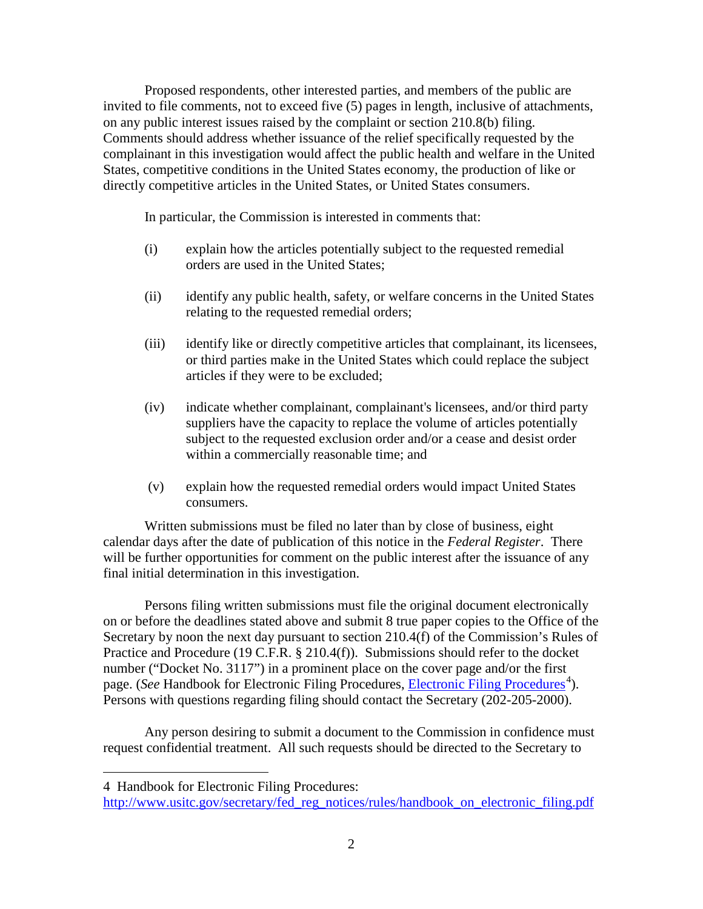Proposed respondents, other interested parties, and members of the public are invited to file comments, not to exceed five (5) pages in length, inclusive of attachments, on any public interest issues raised by the complaint or section 210.8(b) filing. Comments should address whether issuance of the relief specifically requested by the complainant in this investigation would affect the public health and welfare in the United States, competitive conditions in the United States economy, the production of like or directly competitive articles in the United States, or United States consumers.

In particular, the Commission is interested in comments that:

- (i) explain how the articles potentially subject to the requested remedial orders are used in the United States;
- (ii) identify any public health, safety, or welfare concerns in the United States relating to the requested remedial orders;
- (iii) identify like or directly competitive articles that complainant, its licensees, or third parties make in the United States which could replace the subject articles if they were to be excluded;
- (iv) indicate whether complainant, complainant's licensees, and/or third party suppliers have the capacity to replace the volume of articles potentially subject to the requested exclusion order and/or a cease and desist order within a commercially reasonable time; and
- (v) explain how the requested remedial orders would impact United States consumers.

Written submissions must be filed no later than by close of business, eight calendar days after the date of publication of this notice in the *Federal Register*. There will be further opportunities for comment on the public interest after the issuance of any final initial determination in this investigation.

Persons filing written submissions must file the original document electronically on or before the deadlines stated above and submit 8 true paper copies to the Office of the Secretary by noon the next day pursuant to section 210.4(f) of the Commission's Rules of Practice and Procedure (19 C.F.R. § 210.4(f)). Submissions should refer to the docket number ("Docket No. 3117") in a prominent place on the cover page and/or the first page. (*See* Handbook for [Electronic Filing Procedures](http://www.usitc.gov/secretary/fed_reg_notices/rules/handbook_on_electronic_filing.pdf), *Electronic Filing Procedures*<sup>[4](#page-1-0)</sup>). Persons with questions regarding filing should contact the Secretary (202-205-2000).

Any person desiring to submit a document to the Commission in confidence must request confidential treatment. All such requests should be directed to the Secretary to

 $\overline{a}$ 

<span id="page-1-0"></span><sup>4</sup> Handbook for Electronic Filing Procedures:

[http://www.usitc.gov/secretary/fed\\_reg\\_notices/rules/handbook\\_on\\_electronic\\_filing.pdf](http://www.usitc.gov/secretary/fed_reg_notices/rules/handbook_on_electronic_filing.pdf)